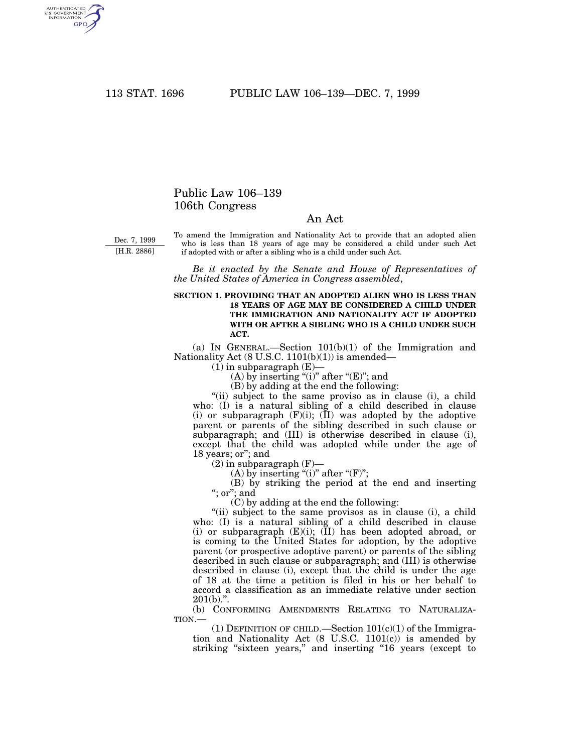AUTHENTICATED<br>U.S. GOVERNMENT<br>INFORMATION GPO

## Public Law 106–139 106th Congress

## An Act

Dec. 7, 1999 [H.R. 2886]

To amend the Immigration and Nationality Act to provide that an adopted alien who is less than 18 years of age may be considered a child under such Act if adopted with or after a sibling who is a child under such Act.

*Be it enacted by the Senate and House of Representatives of the United States of America in Congress assembled*,

## **SECTION 1. PROVIDING THAT AN ADOPTED ALIEN WHO IS LESS THAN 18 YEARS OF AGE MAY BE CONSIDERED A CHILD UNDER THE IMMIGRATION AND NATIONALITY ACT IF ADOPTED WITH OR AFTER A SIBLING WHO IS A CHILD UNDER SUCH ACT.**

(a) IN GENERAL.—Section 101(b)(1) of the Immigration and Nationality Act  $(8 \text{ U.S.C. } 1101(b)(1))$  is amended—

 $(1)$  in subparagraph  $(E)$ —

(A) by inserting "(i)" after "(E)"; and

(B) by adding at the end the following:

"(ii) subject to the same proviso as in clause (i), a child who: (I) is a natural sibling of a child described in clause (i) or subparagraph  $(F)(i)$ ;  $(II)$  was adopted by the adoptive parent or parents of the sibling described in such clause or subparagraph; and (III) is otherwise described in clause (i), except that the child was adopted while under the age of 18 years; or''; and

 $(2)$  in subparagraph  $(F)$ –

(A) by inserting "(i)" after " $(F)$ ";

(B) by striking the period at the end and inserting "; or"; and

(C) by adding at the end the following:

"(ii) subject to the same provisos as in clause (i), a child who: (I) is a natural sibling of a child described in clause (i) or subparagraph (E)(i); (II) has been adopted abroad, or is coming to the United States for adoption, by the adoptive parent (or prospective adoptive parent) or parents of the sibling described in such clause or subparagraph; and (III) is otherwise described in clause (i), except that the child is under the age of 18 at the time a petition is filed in his or her behalf to accord a classification as an immediate relative under section  $201(b)$ .".

(b) CONFORMING AMENDMENTS RELATING TO NATURALIZA-TION.—

(1) DEFINITION OF CHILD.—Section  $101(c)(1)$  of the Immigration and Nationality Act  $(8 \text{ U.S.C. } 1101(c))$  is amended by striking "sixteen years," and inserting "16 years (except to